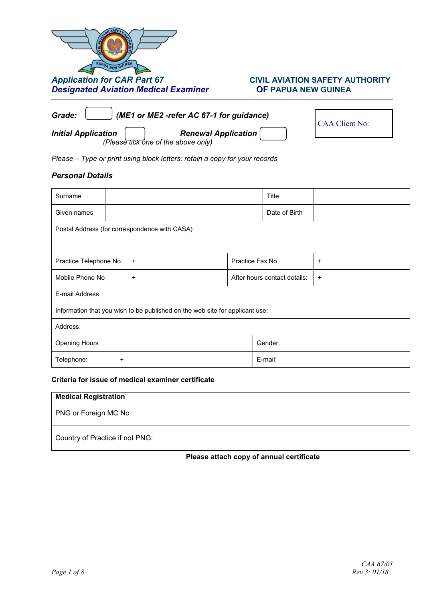# *Application for CAR Part 67* **CIVIL AVIATION SAFETY AUTHORITY** *Designated Aviation Medical Examiner* **OF PAPUA NEW GUINEA**

| (ME1 or ME2 -refer AC 67-1 for guidance)<br>Grade: | <b>CAA Client No:</b>               |  |
|----------------------------------------------------|-------------------------------------|--|
| <b>Initial Application</b>                         | <b>Renewal Application</b>          |  |
|                                                    | (Please tick one of the above only) |  |

*Please – Type or print using block letters: retain a copy for your records* 

### *Personal Details*

| Surname                                                                      |           |           |                              | Title |  |           |
|------------------------------------------------------------------------------|-----------|-----------|------------------------------|-------|--|-----------|
| Given names                                                                  |           |           | Date of Birth                |       |  |           |
| Postal Address (for correspondence with CASA)                                |           |           |                              |       |  |           |
|                                                                              |           |           |                              |       |  |           |
| Practice Telephone No.                                                       |           | $\ddot{}$ | Practice Fax No.             |       |  | $\ddot{}$ |
| Mobile Phone No                                                              |           | $\ddot{}$ | After hours contact details: |       |  | $\ddot{}$ |
| E-mail Address                                                               |           |           |                              |       |  |           |
| Information that you wish to be published on the web site for applicant use: |           |           |                              |       |  |           |
| Address:                                                                     |           |           |                              |       |  |           |
| <b>Opening Hours</b>                                                         | Gender:   |           |                              |       |  |           |
| Telephone:                                                                   | $\ddot{}$ |           | E-mail:                      |       |  |           |

### **Criteria for issue of medical examiner certificate**

| <b>Medical Registration</b>     |
|---------------------------------|
| PNG or Foreign MC No            |
| Country of Practice if not PNG: |

## **Please attach copy of annual certificate**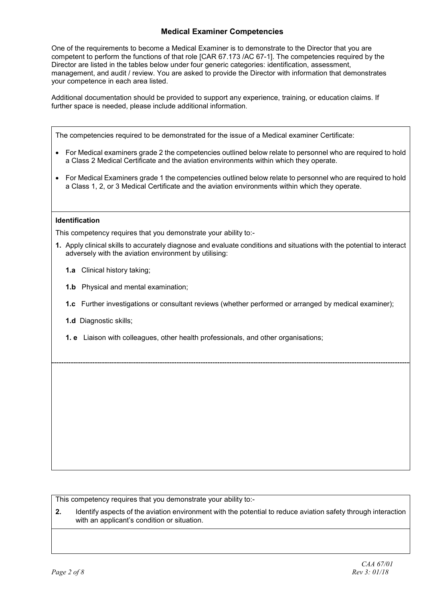## **Medical Examiner Competencies**

One of the requirements to become a Medical Examiner is to demonstrate to the Director that you are competent to perform the functions of that role [CAR 67.173 /AC 67-1]. The competencies required by the Director are listed in the tables below under four generic categories: identification, assessment, management, and audit / review. You are asked to provide the Director with information that demonstrates your competence in each area listed.

Additional documentation should be provided to support any experience, training, or education claims. If further space is needed, please include additional information.

The competencies required to be demonstrated for the issue of a Medical examiner Certificate:

- For Medical examiners grade 2 the competencies outlined below relate to personnel who are required to hold a Class 2 Medical Certificate and the aviation environments within which they operate.
- For Medical Examiners grade 1 the competencies outlined below relate to personnel who are required to hold a Class 1, 2, or 3 Medical Certificate and the aviation environments within which they operate.

#### **Identification**

This competency requires that you demonstrate your ability to:-

- **1.** Apply clinical skills to accurately diagnose and evaluate conditions and situations with the potential to interact adversely with the aviation environment by utilising:
	- **1.a** Clinical history taking;
	- **1.b** Physical and mental examination;
	- **1.c** Further investigations or consultant reviews (whether performed or arranged by medical examiner);
	- **1.d** Diagnostic skills;
	- **1. e** Liaison with colleagues, other health professionals, and other organisations;

This competency requires that you demonstrate your ability to:-

**2.** Identify aspects of the aviation environment with the potential to reduce aviation safety through interaction with an applicant's condition or situation.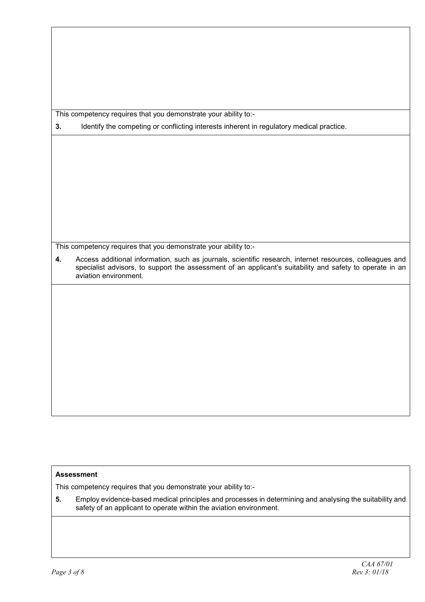This competency requires that you demonstrate your ability to:-

**3.** Identify the competing or conflicting interests inherent in regulatory medical practice.

This competency requires that you demonstrate your ability to:-

**4.** Access additional information, such as journals, scientific research, internet resources, colleagues and specialist advisors, to support the assessment of an applicant's suitability and safety to operate in an aviation environment.

## **Assessment**

This competency requires that you demonstrate your ability to:-

**5.** Employ evidence-based medical principles and processes in determining and analysing the suitability and safety of an applicant to operate within the aviation environment.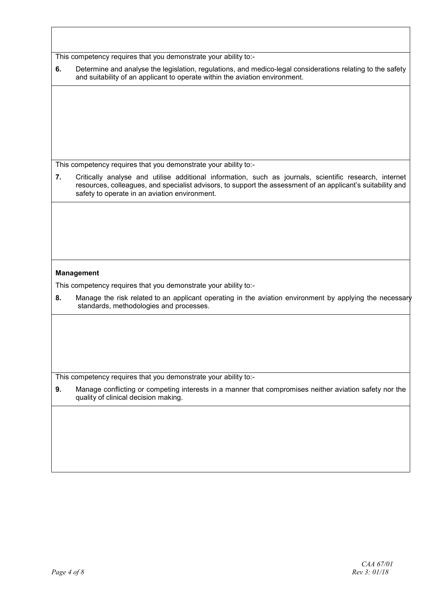This competency requires that you demonstrate your ability to:-

| Determine and analyse the legislation, regulations, and medico-legal considerations relating to the safety |
|------------------------------------------------------------------------------------------------------------|
| and suitability of an applicant to operate within the aviation environment.                                |

This competency requires that you demonstrate your ability to:-

**7.** Critically analyse and utilise additional information, such as journals, scientific research, internet resources, colleagues, and specialist advisors, to support the assessment of an applicant's suitability and safety to operate in an aviation environment.

### **Management**

This competency requires that you demonstrate your ability to:-

**8.** Manage the risk related to an applicant operating in the aviation environment by applying the necessary standards, methodologies and processes.

This competency requires that you demonstrate your ability to:-

**9.** Manage conflicting or competing interests in a manner that compromises neither aviation safety nor the quality of clinical decision making.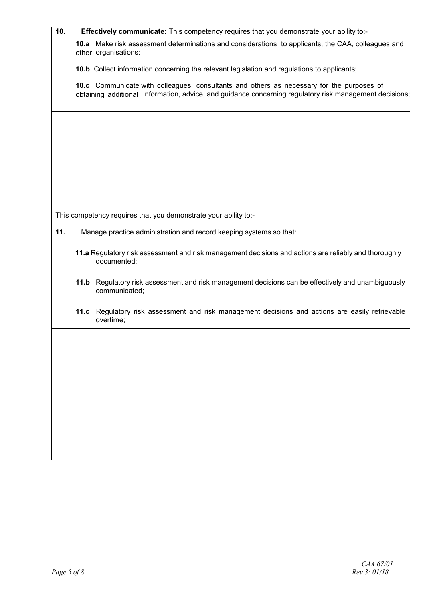| 10. |                                                                                                                                                                                                      | Effectively communicate: This competency requires that you demonstrate your ability to:-                                   |  |  |
|-----|------------------------------------------------------------------------------------------------------------------------------------------------------------------------------------------------------|----------------------------------------------------------------------------------------------------------------------------|--|--|
|     |                                                                                                                                                                                                      | 10.a Make risk assessment determinations and considerations to applicants, the CAA, colleagues and<br>other organisations: |  |  |
|     |                                                                                                                                                                                                      | <b>10.b</b> Collect information concerning the relevant legislation and regulations to applicants;                         |  |  |
|     | 10.c Communicate with colleagues, consultants and others as necessary for the purposes of<br>obtaining additional information, advice, and guidance concerning regulatory risk management decisions; |                                                                                                                            |  |  |
|     |                                                                                                                                                                                                      |                                                                                                                            |  |  |
|     |                                                                                                                                                                                                      |                                                                                                                            |  |  |
|     |                                                                                                                                                                                                      |                                                                                                                            |  |  |
|     |                                                                                                                                                                                                      |                                                                                                                            |  |  |
|     |                                                                                                                                                                                                      |                                                                                                                            |  |  |
|     |                                                                                                                                                                                                      |                                                                                                                            |  |  |
|     |                                                                                                                                                                                                      | This competency requires that you demonstrate your ability to:-                                                            |  |  |
| 11. |                                                                                                                                                                                                      | Manage practice administration and record keeping systems so that:                                                         |  |  |
|     |                                                                                                                                                                                                      | 11.a Regulatory risk assessment and risk management decisions and actions are reliably and thoroughly<br>documented;       |  |  |
|     |                                                                                                                                                                                                      | 11.b Regulatory risk assessment and risk management decisions can be effectively and unambiguously<br>communicated;        |  |  |
|     |                                                                                                                                                                                                      | 11.c Regulatory risk assessment and risk management decisions and actions are easily retrievable<br>overtime;              |  |  |
|     |                                                                                                                                                                                                      |                                                                                                                            |  |  |
|     |                                                                                                                                                                                                      |                                                                                                                            |  |  |
|     |                                                                                                                                                                                                      |                                                                                                                            |  |  |
|     |                                                                                                                                                                                                      |                                                                                                                            |  |  |
|     |                                                                                                                                                                                                      |                                                                                                                            |  |  |
|     |                                                                                                                                                                                                      |                                                                                                                            |  |  |
|     |                                                                                                                                                                                                      |                                                                                                                            |  |  |
|     |                                                                                                                                                                                                      |                                                                                                                            |  |  |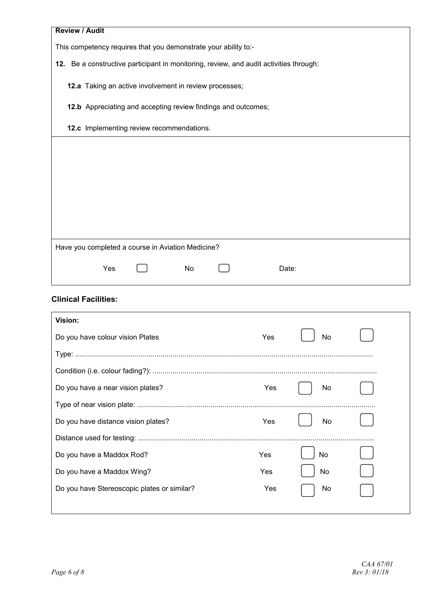| <b>Review / Audit</b>                                                                  |           |  |  |  |
|----------------------------------------------------------------------------------------|-----------|--|--|--|
| This competency requires that you demonstrate your ability to:-                        |           |  |  |  |
| 12. Be a constructive participant in monitoring, review, and audit activities through: |           |  |  |  |
| 12.a Taking an active involvement in review processes;                                 |           |  |  |  |
| 12.b Appreciating and accepting review findings and outcomes;                          |           |  |  |  |
|                                                                                        |           |  |  |  |
| 12.c Implementing review recommendations.                                              |           |  |  |  |
|                                                                                        |           |  |  |  |
|                                                                                        |           |  |  |  |
|                                                                                        |           |  |  |  |
|                                                                                        |           |  |  |  |
|                                                                                        |           |  |  |  |
|                                                                                        |           |  |  |  |
| Have you completed a course in Aviation Medicine?                                      |           |  |  |  |
|                                                                                        |           |  |  |  |
| Yes<br>No                                                                              | Date:     |  |  |  |
| <b>Clinical Facilities:</b>                                                            |           |  |  |  |
| Vision:                                                                                |           |  |  |  |
| Do you have colour vision Plates                                                       | Yes<br>No |  |  |  |
|                                                                                        |           |  |  |  |
|                                                                                        |           |  |  |  |
| Do you have a near vision plates?                                                      | Yes<br>No |  |  |  |
|                                                                                        |           |  |  |  |
| Do you have distance vision plates?                                                    | Yes<br>No |  |  |  |
|                                                                                        |           |  |  |  |
| Do you have a Maddox Rod?                                                              | Yes<br>No |  |  |  |

Do you have a Maddox Wing? No Wes Now Yes No. No.

Do you have Stereoscopic plates or similar? The Mondon Yes No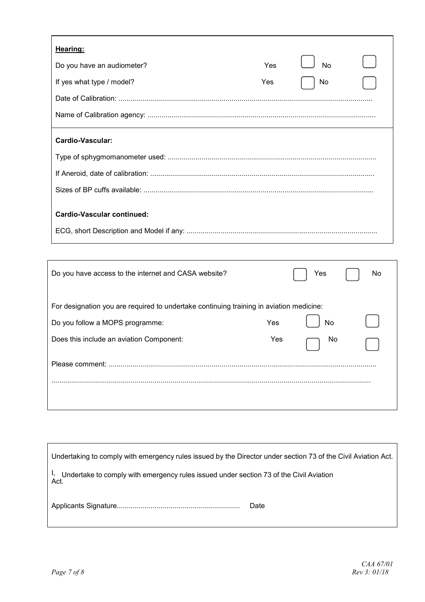| Hearing:                                                                                |                  |
|-----------------------------------------------------------------------------------------|------------------|
| Do you have an audiometer?                                                              | <b>No</b><br>Yes |
| If yes what type / model?                                                               | Yes<br>No        |
|                                                                                         |                  |
|                                                                                         |                  |
| <b>Cardio-Vascular:</b>                                                                 |                  |
|                                                                                         |                  |
|                                                                                         |                  |
|                                                                                         |                  |
| <b>Cardio-Vascular continued:</b>                                                       |                  |
|                                                                                         |                  |
|                                                                                         |                  |
| Do you have access to the internet and CASA website?                                    | No<br>Yes        |
| For designation you are required to undertake continuing training in aviation medicine: |                  |
| Do you follow a MOPS programme:                                                         | Yes<br>No        |
| Does this include an aviation Component:                                                | Yes<br>No        |
|                                                                                         |                  |
|                                                                                         |                  |

| Undertaking to comply with emergency rules issued by the Director under section 73 of the Civil Aviation Act. |      |
|---------------------------------------------------------------------------------------------------------------|------|
| <sup>1</sup> , Undertake to comply with emergency rules issued under section 73 of the Civil Aviation Act.    |      |
|                                                                                                               | Date |